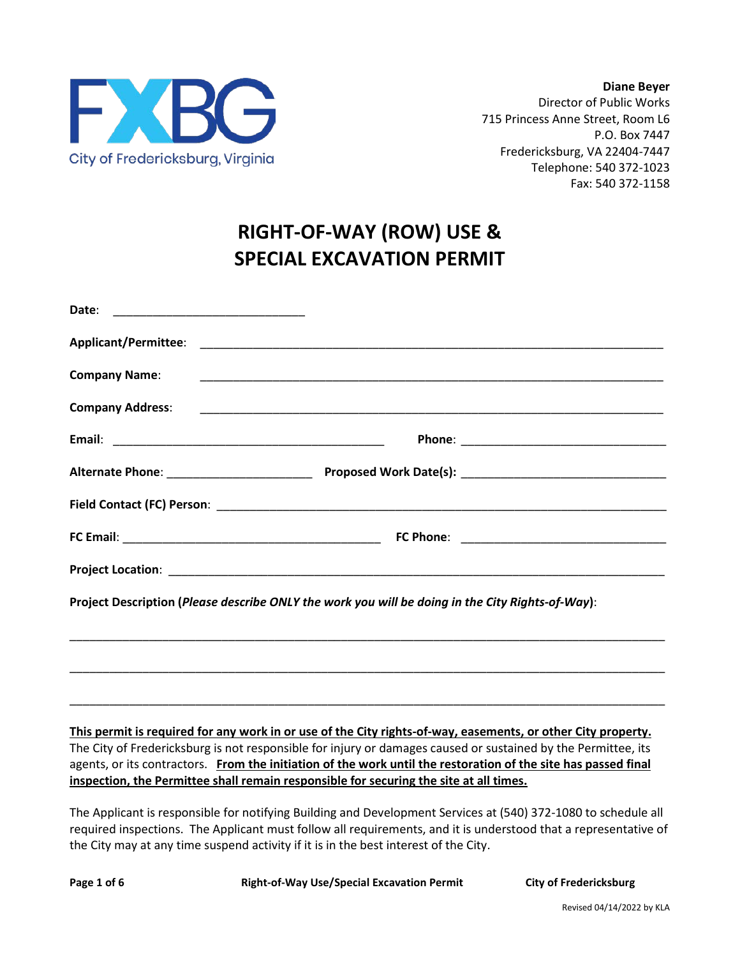

# **RIGHT-OF-WAY (ROW) USE & SPECIAL EXCAVATION PERMIT**

| <b>Company Name:</b> |                                                                                                  |  |
|----------------------|--------------------------------------------------------------------------------------------------|--|
|                      |                                                                                                  |  |
|                      |                                                                                                  |  |
|                      |                                                                                                  |  |
|                      |                                                                                                  |  |
|                      |                                                                                                  |  |
|                      |                                                                                                  |  |
|                      | Project Description (Please describe ONLY the work you will be doing in the City Rights-of-Way): |  |
|                      |                                                                                                  |  |
|                      |                                                                                                  |  |

## **This permit is required for any work in or use of the City rights-of-way, easements, or other City property.** The City of Fredericksburg is not responsible for injury or damages caused or sustained by the Permittee, its agents, or its contractors. **From the initiation of the work until the restoration of the site has passed final inspection, the Permittee shall remain responsible for securing the site at all times.**

\_\_\_\_\_\_\_\_\_\_\_\_\_\_\_\_\_\_\_\_\_\_\_\_\_\_\_\_\_\_\_\_\_\_\_\_\_\_\_\_\_\_\_\_\_\_\_\_\_\_\_\_\_\_\_\_\_\_\_\_\_\_\_\_\_\_\_\_\_\_\_\_\_\_\_\_\_\_\_\_\_\_\_\_\_\_\_\_\_\_

\_\_\_\_\_\_\_\_\_\_\_\_\_\_\_\_\_\_\_\_\_\_\_\_\_\_\_\_\_\_\_\_\_\_\_\_\_\_\_\_\_\_\_\_\_\_\_\_\_\_\_\_\_\_\_\_\_\_\_\_\_\_\_\_\_\_\_\_\_\_\_\_\_\_\_\_\_\_\_\_\_\_\_\_\_\_\_\_\_\_

The Applicant is responsible for notifying Building and Development Services at (540) 372-1080 to schedule all required inspections. The Applicant must follow all requirements, and it is understood that a representative of the City may at any time suspend activity if it is in the best interest of the City.

**Page 1 of 6 Right-of-Way Use/Special Excavation Permit City of Fredericksburg**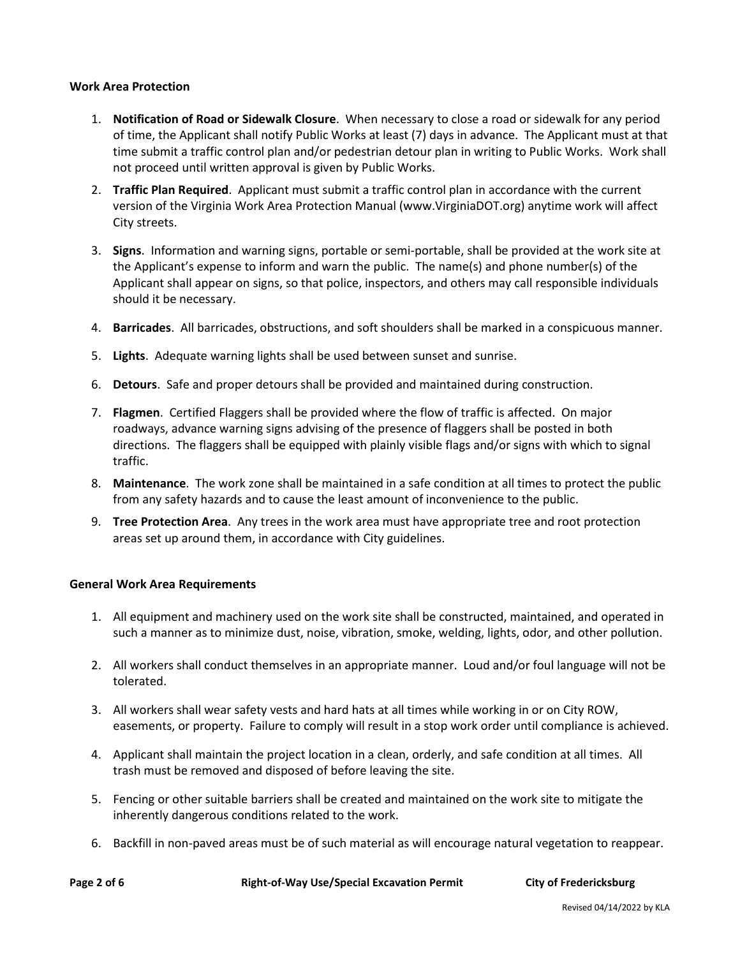### **Work Area Protection**

- 1. **Notification of Road or Sidewalk Closure**. When necessary to close a road or sidewalk for any period of time, the Applicant shall notify Public Works at least (7) days in advance. The Applicant must at that time submit a traffic control plan and/or pedestrian detour plan in writing to Public Works. Work shall not proceed until written approval is given by Public Works.
- 2. **Traffic Plan Required**. Applicant must submit a traffic control plan in accordance with the current version of the Virginia Work Area Protection Manual [\(www.VirginiaDOT.org\)](http://www.virginiadot.org/) anytime work will affect City streets.
- 3. **Signs**. Information and warning signs, portable or semi-portable, shall be provided at the work site at the Applicant's expense to inform and warn the public. The name(s) and phone number(s) of the Applicant shall appear on signs, so that police, inspectors, and others may call responsible individuals should it be necessary.
- 4. **Barricades**. All barricades, obstructions, and soft shoulders shall be marked in a conspicuous manner.
- 5. **Lights**. Adequate warning lights shall be used between sunset and sunrise.
- 6. **Detours**. Safe and proper detours shall be provided and maintained during construction.
- 7. **Flagmen**. Certified Flaggers shall be provided where the flow of traffic is affected. On major roadways, advance warning signs advising of the presence of flaggers shall be posted in both directions. The flaggers shall be equipped with plainly visible flags and/or signs with which to signal traffic.
- 8. **Maintenance**. The work zone shall be maintained in a safe condition at all times to protect the public from any safety hazards and to cause the least amount of inconvenience to the public.
- 9. **Tree Protection Area**. Any trees in the work area must have appropriate tree and root protection areas set up around them, in accordance with City guidelines.

#### **General Work Area Requirements**

- 1. All equipment and machinery used on the work site shall be constructed, maintained, and operated in such a manner as to minimize dust, noise, vibration, smoke, welding, lights, odor, and other pollution.
- 2. All workers shall conduct themselves in an appropriate manner. Loud and/or foul language will not be tolerated.
- 3. All workers shall wear safety vests and hard hats at all times while working in or on City ROW, easements, or property. Failure to comply will result in a stop work order until compliance is achieved.
- 4. Applicant shall maintain the project location in a clean, orderly, and safe condition at all times. All trash must be removed and disposed of before leaving the site.
- 5. Fencing or other suitable barriers shall be created and maintained on the work site to mitigate the inherently dangerous conditions related to the work.
- 6. Backfill in non-paved areas must be of such material as will encourage natural vegetation to reappear.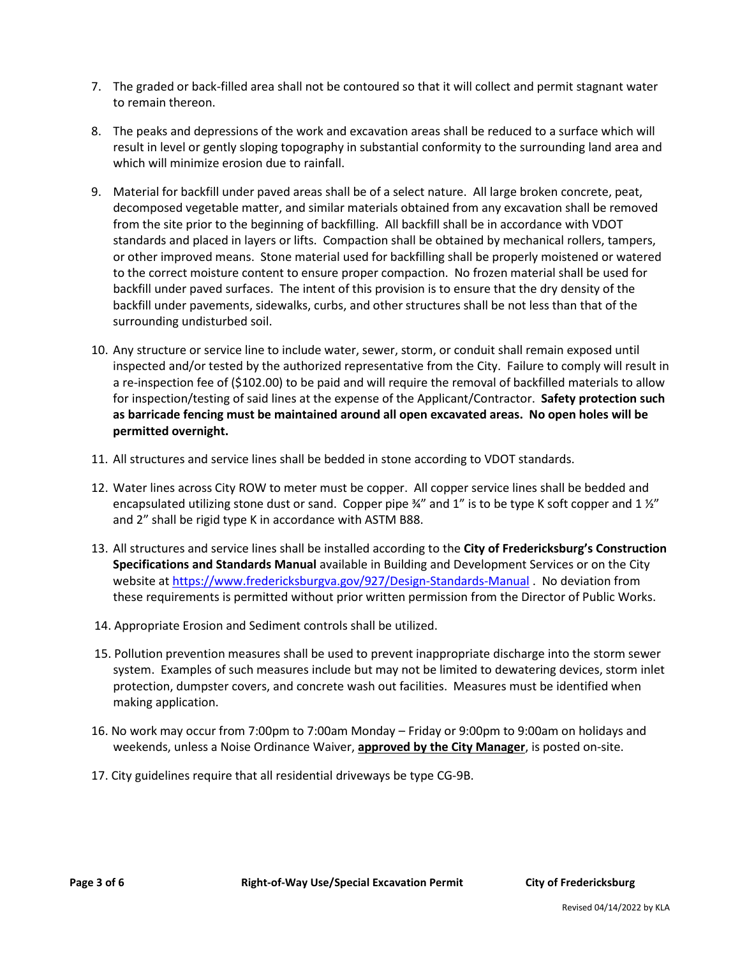- 7. The graded or back-filled area shall not be contoured so that it will collect and permit stagnant water to remain thereon.
- 8. The peaks and depressions of the work and excavation areas shall be reduced to a surface which will result in level or gently sloping topography in substantial conformity to the surrounding land area and which will minimize erosion due to rainfall.
- 9. Material for backfill under paved areas shall be of a select nature. All large broken concrete, peat, decomposed vegetable matter, and similar materials obtained from any excavation shall be removed from the site prior to the beginning of backfilling. All backfill shall be in accordance with VDOT standards and placed in layers or lifts. Compaction shall be obtained by mechanical rollers, tampers, or other improved means. Stone material used for backfilling shall be properly moistened or watered to the correct moisture content to ensure proper compaction. No frozen material shall be used for backfill under paved surfaces. The intent of this provision is to ensure that the dry density of the backfill under pavements, sidewalks, curbs, and other structures shall be not less than that of the surrounding undisturbed soil.
- 10. Any structure or service line to include water, sewer, storm, or conduit shall remain exposed until inspected and/or tested by the authorized representative from the City. Failure to comply will result in a re-inspection fee of (\$102.00) to be paid and will require the removal of backfilled materials to allow for inspection/testing of said lines at the expense of the Applicant/Contractor. **Safety protection such as barricade fencing must be maintained around all open excavated areas. No open holes will be permitted overnight.**
- 11. All structures and service lines shall be bedded in stone according to VDOT standards.
- 12. Water lines across City ROW to meter must be copper. All copper service lines shall be bedded and encapsulated utilizing stone dust or sand. Copper pipe 34" and 1" is to be type K soft copper and 1 12" and 2" shall be rigid type K in accordance with ASTM B88.
- 13. All structures and service lines shall be installed according to the **City of Fredericksburg's Construction Specifications and Standards Manual** available in Building and Development Services or on the City website a[t https://www.fredericksburgva.gov/927/Design-Standards-Manual](https://www.fredericksburgva.gov/927/Design-Standards-Manual) . No deviation from these requirements is permitted without prior written permission from the Director of Public Works.
- 14. Appropriate Erosion and Sediment controls shall be utilized.
- 15. Pollution prevention measures shall be used to prevent inappropriate discharge into the storm sewer system. Examples of such measures include but may not be limited to dewatering devices, storm inlet protection, dumpster covers, and concrete wash out facilities. Measures must be identified when making application.
- 16. No work may occur from 7:00pm to 7:00am Monday Friday or 9:00pm to 9:00am on holidays and weekends, unless a Noise Ordinance Waiver, **approved by the City Manager**, is posted on-site.
- 17. City guidelines require that all residential driveways be type CG-9B.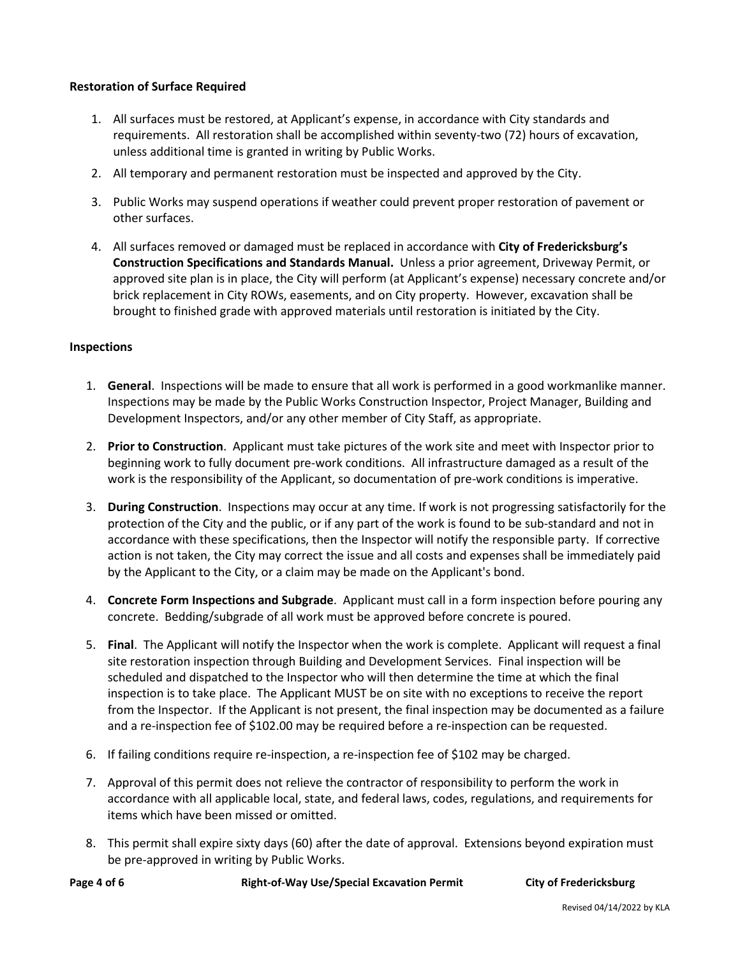## **Restoration of Surface Required**

- 1. All surfaces must be restored, at Applicant's expense, in accordance with City standards and requirements. All restoration shall be accomplished within seventy-two (72) hours of excavation, unless additional time is granted in writing by Public Works.
- 2. All temporary and permanent restoration must be inspected and approved by the City.
- 3. Public Works may suspend operations if weather could prevent proper restoration of pavement or other surfaces.
- 4. All surfaces removed or damaged must be replaced in accordance with **City of Fredericksburg's Construction Specifications and Standards Manual.** Unless a prior agreement, Driveway Permit, or approved site plan is in place, the City will perform (at Applicant's expense) necessary concrete and/or brick replacement in City ROWs, easements, and on City property. However, excavation shall be brought to finished grade with approved materials until restoration is initiated by the City.

#### **Inspections**

- 1. **General**. Inspections will be made to ensure that all work is performed in a good workmanlike manner. Inspections may be made by the Public Works Construction Inspector, Project Manager, Building and Development Inspectors, and/or any other member of City Staff, as appropriate.
- 2. **Prior to Construction**. Applicant must take pictures of the work site and meet with Inspector prior to beginning work to fully document pre-work conditions. All infrastructure damaged as a result of the work is the responsibility of the Applicant, so documentation of pre-work conditions is imperative.
- 3. **During Construction**. Inspections may occur at any time. If work is not progressing satisfactorily for the protection of the City and the public, or if any part of the work is found to be sub-standard and not in accordance with these specifications, then the Inspector will notify the responsible party. If corrective action is not taken, the City may correct the issue and all costs and expenses shall be immediately paid by the Applicant to the City, or a claim may be made on the Applicant's bond.
- 4. **Concrete Form Inspections and Subgrade**. Applicant must call in a form inspection before pouring any concrete. Bedding/subgrade of all work must be approved before concrete is poured.
- 5. **Final**. The Applicant will notify the Inspector when the work is complete. Applicant will request a final site restoration inspection through Building and Development Services. Final inspection will be scheduled and dispatched to the Inspector who will then determine the time at which the final inspection is to take place. The Applicant MUST be on site with no exceptions to receive the report from the Inspector. If the Applicant is not present, the final inspection may be documented as a failure and a re-inspection fee of \$102.00 may be required before a re-inspection can be requested.
- 6. If failing conditions require re-inspection, a re-inspection fee of \$102 may be charged.
- 7. Approval of this permit does not relieve the contractor of responsibility to perform the work in accordance with all applicable local, state, and federal laws, codes, regulations, and requirements for items which have been missed or omitted.
- 8. This permit shall expire sixty days (60) after the date of approval. Extensions beyond expiration must be pre-approved in writing by Public Works.

**Page 4 of 6 Right-of-Way Use/Special Excavation Permit City of Fredericksburg**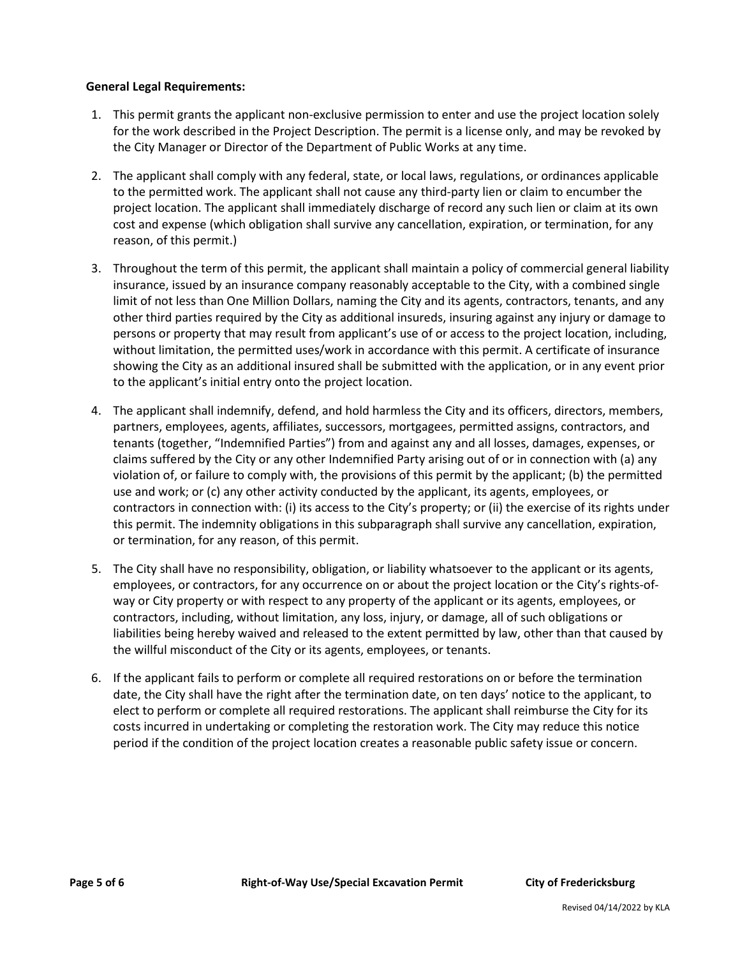## **General Legal Requirements:**

- 1. This permit grants the applicant non-exclusive permission to enter and use the project location solely for the work described in the Project Description. The permit is a license only, and may be revoked by the City Manager or Director of the Department of Public Works at any time.
- 2. The applicant shall comply with any federal, state, or local laws, regulations, or ordinances applicable to the permitted work. The applicant shall not cause any third-party lien or claim to encumber the project location. The applicant shall immediately discharge of record any such lien or claim at its own cost and expense (which obligation shall survive any cancellation, expiration, or termination, for any reason, of this permit.)
- 3. Throughout the term of this permit, the applicant shall maintain a policy of commercial general liability insurance, issued by an insurance company reasonably acceptable to the City, with a combined single limit of not less than One Million Dollars, naming the City and its agents, contractors, tenants, and any other third parties required by the City as additional insureds, insuring against any injury or damage to persons or property that may result from applicant's use of or access to the project location, including, without limitation, the permitted uses/work in accordance with this permit. A certificate of insurance showing the City as an additional insured shall be submitted with the application, or in any event prior to the applicant's initial entry onto the project location.
- 4. The applicant shall indemnify, defend, and hold harmless the City and its officers, directors, members, partners, employees, agents, affiliates, successors, mortgagees, permitted assigns, contractors, and tenants (together, "Indemnified Parties") from and against any and all losses, damages, expenses, or claims suffered by the City or any other Indemnified Party arising out of or in connection with (a) any violation of, or failure to comply with, the provisions of this permit by the applicant; (b) the permitted use and work; or (c) any other activity conducted by the applicant, its agents, employees, or contractors in connection with: (i) its access to the City's property; or (ii) the exercise of its rights under this permit. The indemnity obligations in this subparagraph shall survive any cancellation, expiration, or termination, for any reason, of this permit.
- 5. The City shall have no responsibility, obligation, or liability whatsoever to the applicant or its agents, employees, or contractors, for any occurrence on or about the project location or the City's rights-ofway or City property or with respect to any property of the applicant or its agents, employees, or contractors, including, without limitation, any loss, injury, or damage, all of such obligations or liabilities being hereby waived and released to the extent permitted by law, other than that caused by the willful misconduct of the City or its agents, employees, or tenants.
- 6. If the applicant fails to perform or complete all required restorations on or before the termination date, the City shall have the right after the termination date, on ten days' notice to the applicant, to elect to perform or complete all required restorations. The applicant shall reimburse the City for its costs incurred in undertaking or completing the restoration work. The City may reduce this notice period if the condition of the project location creates a reasonable public safety issue or concern.